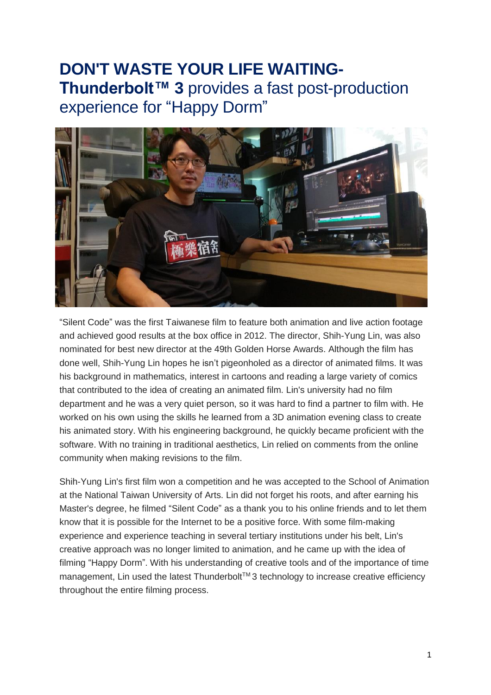# **DON'T WASTE YOUR LIFE WAITING-Thunderbolt™ 3** provides a fast post-production experience for "Happy Dorm"



"Silent Code" was the first Taiwanese film to feature both animation and live action footage and achieved good results at the box office in 2012. The director, Shih-Yung Lin, was also nominated for best new director at the 49th Golden Horse Awards. Although the film has done well, Shih-Yung Lin hopes he isn't pigeonholed as a director of animated films. It was his background in mathematics, interest in cartoons and reading a large variety of comics that contributed to the idea of creating an animated film. Lin's university had no film department and he was a very quiet person, so it was hard to find a partner to film with. He worked on his own using the skills he learned from a 3D animation evening class to create his animated story. With his engineering background, he quickly became proficient with the software. With no training in traditional aesthetics, Lin relied on comments from the online community when making revisions to the film.

Shih-Yung Lin's first film won a competition and he was accepted to the School of Animation at the National Taiwan University of Arts. Lin did not forget his roots, and after earning his Master's degree, he filmed "Silent Code" as a thank you to his online friends and to let them know that it is possible for the Internet to be a positive force. With some film-making experience and experience teaching in several tertiary institutions under his belt, Lin's creative approach was no longer limited to animation, and he came up with the idea of filming "Happy Dorm". With his understanding of creative tools and of the importance of time management, Lin used the latest Thunderbolt™3 technology to increase creative efficiency throughout the entire filming process.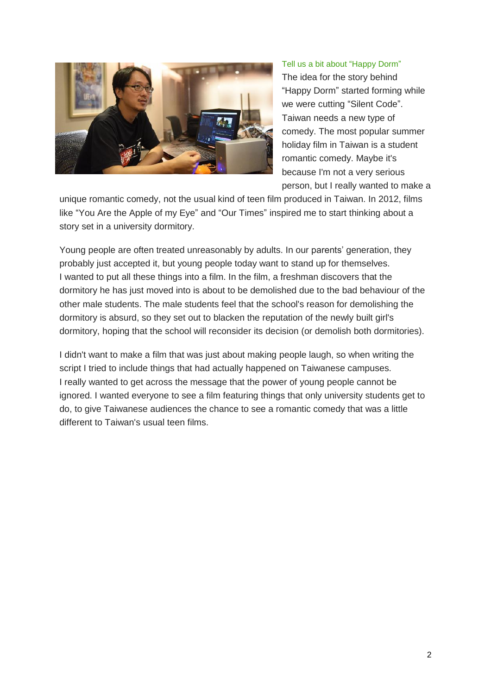

#### Tell us a bit about "Happy Dorm"

The idea for the story behind "Happy Dorm" started forming while we were cutting "Silent Code". Taiwan needs a new type of comedy. The most popular summer holiday film in Taiwan is a student romantic comedy. Maybe it's because I'm not a very serious person, but I really wanted to make a

unique romantic comedy, not the usual kind of teen film produced in Taiwan. In 2012, films like "You Are the Apple of my Eye" and "Our Times" inspired me to start thinking about a story set in a university dormitory.

Young people are often treated unreasonably by adults. In our parents' generation, they probably just accepted it, but young people today want to stand up for themselves. I wanted to put all these things into a film. In the film, a freshman discovers that the dormitory he has just moved into is about to be demolished due to the bad behaviour of the other male students. The male students feel that the school's reason for demolishing the dormitory is absurd, so they set out to blacken the reputation of the newly built girl's dormitory, hoping that the school will reconsider its decision (or demolish both dormitories).

I didn't want to make a film that was just about making people laugh, so when writing the script I tried to include things that had actually happened on Taiwanese campuses. I really wanted to get across the message that the power of young people cannot be ignored. I wanted everyone to see a film featuring things that only university students get to do, to give Taiwanese audiences the chance to see a romantic comedy that was a little different to Taiwan's usual teen films.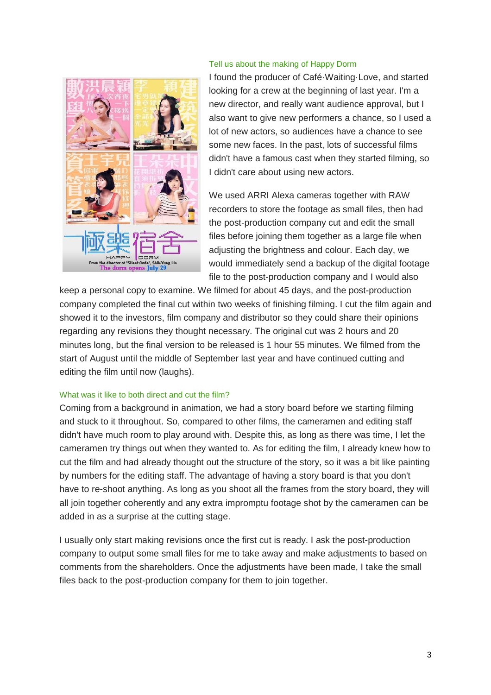

## Tell us about the making of Happy Dorm

I found the producer of Café·Waiting·Love, and started looking for a crew at the beginning of last year. I'm a new director, and really want audience approval, but I also want to give new performers a chance, so I used a lot of new actors, so audiences have a chance to see some new faces. In the past, lots of successful films didn't have a famous cast when they started filming, so I didn't care about using new actors.

We used ARRI Alexa cameras together with RAW recorders to store the footage as small files, then had the post-production company cut and edit the small files before joining them together as a large file when adjusting the brightness and colour. Each day, we would immediately send a backup of the digital footage file to the post-production company and I would also

keep a personal copy to examine. We filmed for about 45 days, and the post-production company completed the final cut within two weeks of finishing filming. I cut the film again and showed it to the investors, film company and distributor so they could share their opinions regarding any revisions they thought necessary. The original cut was 2 hours and 20 minutes long, but the final version to be released is 1 hour 55 minutes. We filmed from the start of August until the middle of September last year and have continued cutting and editing the film until now (laughs).

# What was it like to both direct and cut the film?

Coming from a background in animation, we had a story board before we starting filming and stuck to it throughout. So, compared to other films, the cameramen and editing staff didn't have much room to play around with. Despite this, as long as there was time, I let the cameramen try things out when they wanted to. As for editing the film, I already knew how to cut the film and had already thought out the structure of the story, so it was a bit like painting by numbers for the editing staff. The advantage of having a story board is that you don't have to re-shoot anything. As long as you shoot all the frames from the story board, they will all join together coherently and any extra impromptu footage shot by the cameramen can be added in as a surprise at the cutting stage.

I usually only start making revisions once the first cut is ready. I ask the post-production company to output some small files for me to take away and make adjustments to based on comments from the shareholders. Once the adjustments have been made, I take the small files back to the post-production company for them to join together.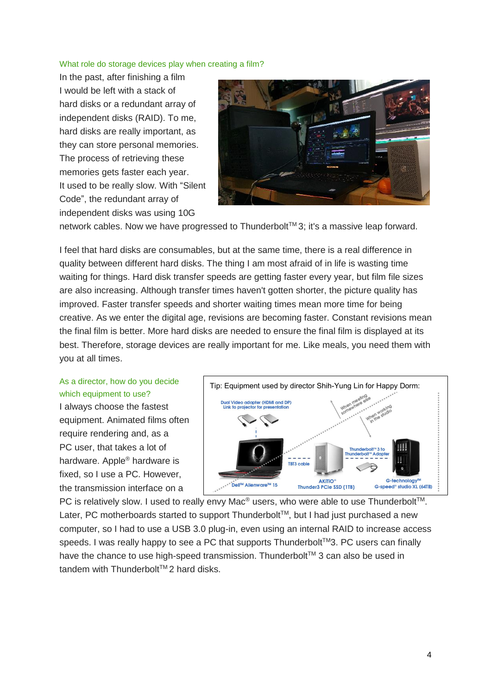#### What role do storage devices play when creating a film?

In the past, after finishing a film I would be left with a stack of hard disks or a redundant array of independent disks (RAID). To me, hard disks are really important, as they can store personal memories. The process of retrieving these memories gets faster each year. It used to be really slow. With "Silent Code", the redundant array of independent disks was using 10G



network cables. Now we have progressed to Thunderbolt<sup>™</sup>3; it's a massive leap forward.

I feel that hard disks are consumables, but at the same time, there is a real difference in quality between different hard disks. The thing I am most afraid of in life is wasting time waiting for things. Hard disk transfer speeds are getting faster every year, but film file sizes are also increasing. Although transfer times haven't gotten shorter, the picture quality has improved. Faster transfer speeds and shorter waiting times mean more time for being creative. As we enter the digital age, revisions are becoming faster. Constant revisions mean the final film is better. More hard disks are needed to ensure the final film is displayed at its best. Therefore, storage devices are really important for me. Like meals, you need them with you at all times.

# As a director, how do you decide which equipment to use?

I always choose the fastest equipment. Animated films often require rendering and, as a PC user, that takes a lot of hardware. Apple® hardware is fixed, so I use a PC. However, the transmission interface on a



PC is relatively slow. I used to really envy Mac<sup>®</sup> users, who were able to use Thunderbolt<sup>™</sup>. Later, PC motherboards started to support Thunderbolt™, but I had just purchased a new computer, so I had to use a USB 3.0 plug-in, even using an internal RAID to increase access speeds. I was really happy to see a PC that supports Thunderbolt™3. PC users can finally have the chance to use high-speed transmission. Thunderbolt™ 3 can also be used in tandem with Thunderbolt™2 hard disks.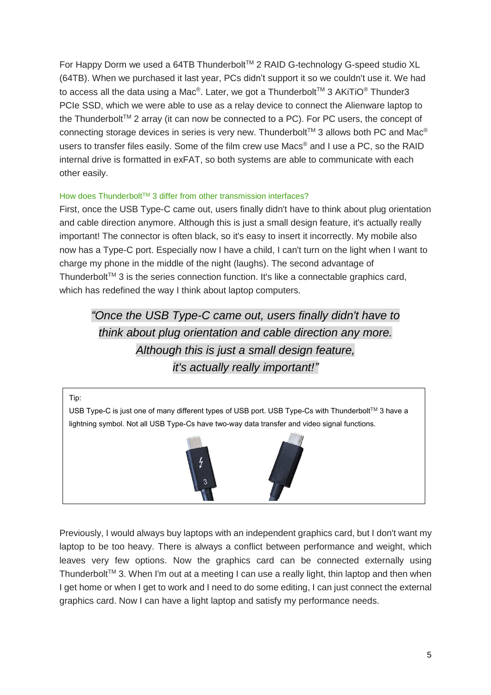For Happy Dorm we used a 64TB Thunderbolt™ 2 RAID G-technology G-speed studio XL (64TB). When we purchased it last year, PCs didn't support it so we couldn't use it. We had to access all the data using a Mac®. Later, we got a Thunderbolt™ 3 AKiTiO® Thunder3 PCIe SSD, which we were able to use as a relay device to connect the Alienware laptop to the Thunderbolt<sup>TM</sup> 2 array (it can now be connected to a PC). For PC users, the concept of connecting storage devices in series is very new. Thunderbolt™ 3 allows both PC and Mac<sup>®</sup> users to transfer files easily. Some of the film crew use Macs® and I use a PC, so the RAID internal drive is formatted in exFAT, so both systems are able to communicate with each other easily.

# How does Thunderbolt™ 3 differ from other transmission interfaces?

First, once the USB Type-C came out, users finally didn't have to think about plug orientation and cable direction anymore. Although this is just a small design feature, it's actually really important! The connector is often black, so it's easy to insert it incorrectly. My mobile also now has a Type-C port. Especially now I have a child, I can't turn on the light when I want to charge my phone in the middle of the night (laughs). The second advantage of Thunderbolt™ 3 is the series connection function. It's like a connectable graphics card, which has redefined the way I think about laptop computers.

*"Once the USB Type-C came out, users finally didn't have to think about plug orientation and cable direction any more. Although this is just a small design feature, it's actually really important!"*





Previously, I would always buy laptops with an independent graphics card, but I don't want my laptop to be too heavy. There is always a conflict between performance and weight, which leaves very few options. Now the graphics card can be connected externally using Thunderbolt<sup>TM</sup> 3. When I'm out at a meeting I can use a really light, thin laptop and then when I get home or when I get to work and I need to do some editing, I can just connect the external graphics card. Now I can have a light laptop and satisfy my performance needs.